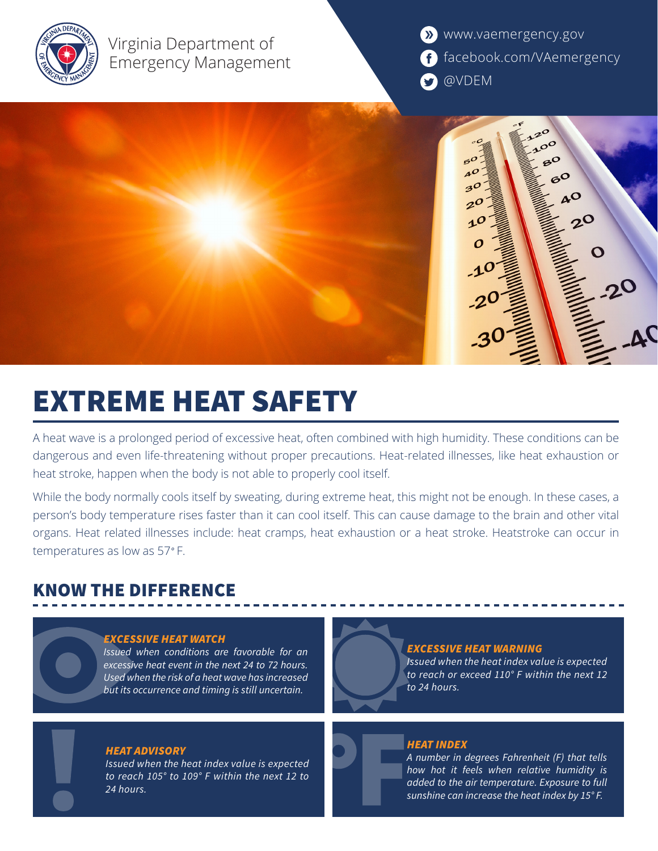

Virginia Department of Emergency Management **X** www.vaemergency.gov f facebook.com/VAemergency **D** @VDEM

 $5^{\circ}$  $\mathbf{A}^{\mathcal{O}}$  $6^{\circ}$  $30$ **nO**  $2^{\mathcal{O}}$  $1<sup>0</sup>$ O

# EXTREME HEAT SAFETY

A heat wave is a prolonged period of excessive heat, often combined with high humidity. These conditions can be dangerous and even life-threatening without proper precautions. Heat-related illnesses, like heat exhaustion or heat stroke, happen when the body is not able to properly cool itself.

While the body normally cools itself by sweating, during extreme heat, this might not be enough. In these cases, a person's body temperature rises faster than it can cool itself. This can cause damage to the brain and other vital organs. Heat related illnesses include: heat cramps, heat exhaustion or a heat stroke. Heatstroke can occur in temperatures as low as 57*°* F.

# KNOW THE DIFFERENCE

### *EXCESSIVE HEAT WATCH*

*Issued when conditions are favorable for an excessive heat event in the next 24 to 72 hours. Used when the risk of a heat wave has increased but its occurrence and timing is still uncertain.* 

### *HEAT ADVISORY*

*Issued when the heat index value is expected to reach 105° to 109° F within the next 12 to 24 hours.*

#### *EXCESSIVE HEAT WARNING*

*Issued when the heat index value is expected to reach or exceed 110° F within the next 12 to 24 hours.*

### *HEAT INDEX*

*A number in degrees Fahrenheit (F) that tells how hot it feels when relative humidity is added to the air temperature. Exposure to full sunshine can increase the heat index by 15° F.*